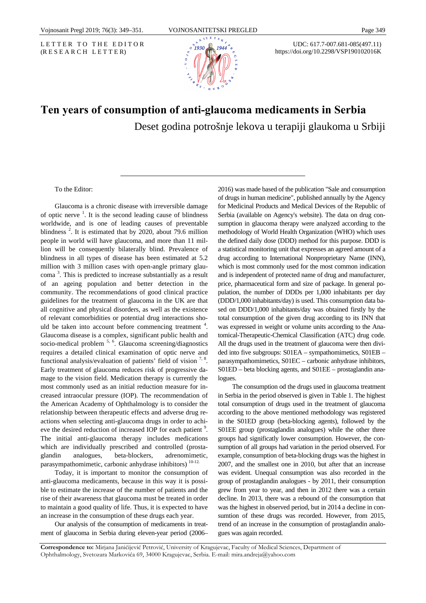LETTER TO THE EDITOR (R E S E A R C H L E T T E R)



UDC: 617.7-007.681-085(497.11) https://doi.org/10.2298/VSP190102016K

## **Ten years of consumption of anti-glaucoma medicaments in Serbia**  Deset godina potrošnje lekova u terapiji glaukoma u Srbiji

To the Editor:

Glaucoma is a chronic disease with irreversible damage of optic nerve  $\frac{1}{1}$ . It is the second leading cause of blindness worldwide, and is one of leading causes of preventable blindness<sup>2</sup>. It is estimated that by 2020, about 79.6 million people in world will have glaucoma, and more than 11 million will be consequently bilaterally blind. Prevalence of blindness in all types of disease has been estimated at 5.2 million with 3 million cases with open-angle primary glaucoma <sup>3</sup> . This is predicted to increase substantially as a result of an ageing population and better detection in the community. The recommendations of good clinical practice guidelines for the treatment of glaucoma in the UK are that all cognitive and physical disorders, as well as the existence of relevant comorbidities or potential drug interactions should be taken into account before commencing treatment  $4$ . Glaucoma disease is a complex, significant public health and socio-medical problem  $<sup>5, 6</sup>$ . Glaucoma screening/diagnostics</sup> requires a detailed clinical examination of optic nerve and functional analysis/evaluation of patients' field of vision  $7.8$ . Early treatment of glaucoma reduces risk of progressive damage to the vision field. Medication therapy is currently the most commonly used as an initial reduction measure for increased intraocular pressure (IOP). The recommendation of the American Academy of Ophthalmology is to consider the relationship between therapeutic effects and adverse drug reactions when selecting anti-glaucoma drugs in order to achieve the desired reduction of increased IOP for each patient<sup>9</sup>. The initial anti-glaucoma therapy includes medications which are individually prescribed and controlled (prostaglandin analogues, beta-blockers, adrenomimetic, parasympathomimetic, carbonic anhydrase inhibitors)<sup>10-12.</sup>

Today, it is important to monitor the consumption of anti-glaucoma medicaments, because in this way it is possible to estimate the increase of the number of patients and the rise of their awareness that glaucoma must be treated in order to maintain a good quality of life. Thus, it is expected to have an increase in the consumption of these drugs each year.

Our analysis of the consumption of medicaments in treatment of glaucoma in Serbia during eleven-year period (2006– 2016) was made based of the publication "Sale and consumption of drugs in human medicine", published annually by the Agency for Medicinal Products and Medical Devices of the Republic of Serbia (available on Agency's website). The data on drug consumption in glaucoma therapy were analyzed according to the methodology of World Health Organization (WHO) which uses the defined daily dose (DDD) method for this purpose. DDD is a statistical monitoring unit that expresses an agreed amount of a drug according to International Nonproprietary Name (INN), which is most commonly used for the most common indication and is independent of protected name of drug and manufacturer, price, pharmaceutical form and size of package. In general population, the number of DDDs per 1,000 inhabitants per day (DDD/1,000 inhabitants/day) is used. This consumption data based on DDD/1,000 inhabitants/day was obtained firstly by the total consumption of the given drug according to its INN that was expressed in weight or volume units according to the Anatomical-Therapeutic-Chemical Classification (ATC) drug code. All the drugs used in the treatment of glaucoma were then divided into five subgroups: S01EA – sympathomimetics, S01EB – parasympathomimetics, S01EC – carbonic anhydrase inhibitors, S01ED – beta blocking agents, and S01EE – prostaglandin analogues.

The consumption od the drugs used in glaucoma treatment in Serbia in the period observed is given in Table 1. The highest total consumption of drugs used in the treatment of glaucoma according to the above mentioned methodology was registered in the S01ED group (beta-blocking agents), followed by the S01EE group (prostaglandin analogues) while the other three groups had significatly lower consumption. However, the consumption of all groups had variation in the period observed. For example, consumption of beta-blocking drugs was the highest in 2007, and the smallest one in 2010, but after that an increase was evident. Unequal consumption was also recorded in the group of prostaglandin analogues - by 2011, their consumption grew from year to year, and then in 2012 there was a certain decline. In 2013, there was a rebound of the consumption that was the highest in observed period, but in 2014 a decline in consumtion of these drugs was recorded. However, from 2015, trend of an increase in the consumption of prostaglandin analogues was again recorded.

**Correspondence to:** Mirjana Janićijević Petrović, University of Kragujevac, Faculty of Medical Sciences, Department of Ophthalmology, Svetozara Markovića 69, 34000 Kragujevac, Serbia. E-mail: mira.andreja@yahoo.com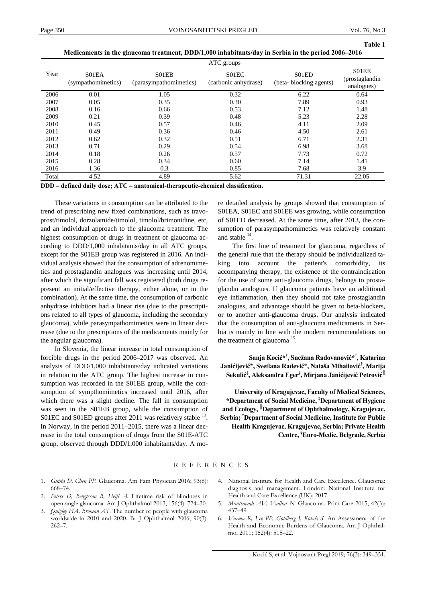**Table 1** 

|       | ATC groups                  |                                 |                               |                                 |                                       |
|-------|-----------------------------|---------------------------------|-------------------------------|---------------------------------|---------------------------------------|
| Year  | S01EA<br>(sympathomimetics) | S01EB<br>(parasympathomimetics) | S01EC<br>(carbonic anhydrase) | S01ED<br>(beta-blocking agents) | S01EE<br>(prostaglandin<br>analogues) |
| 2006  | 0.01                        | 1.05                            | 0.32                          | 6.22                            | 0.64                                  |
| 2007  | 0.05                        | 0.35                            | 0.30                          | 7.89                            | 0.93                                  |
| 2008  | 0.16                        | 0.66                            | 0.53                          | 7.12                            | 1.48                                  |
| 2009  | 0.21                        | 0.39                            | 0.48                          | 5.23                            | 2.28                                  |
| 2010  | 0.45                        | 0.57                            | 0.46                          | 4.11                            | 2.09                                  |
| 2011  | 0.49                        | 0.36                            | 0.46                          | 4.50                            | 2.61                                  |
| 2012  | 0.62                        | 0.32                            | 0.51                          | 6.71                            | 2.31                                  |
| 2013  | 0.71                        | 0.29                            | 0.54                          | 6.98                            | 3.68                                  |
| 2014  | 0.18                        | 0.26                            | 0.57                          | 7.73                            | 0.72                                  |
| 2015  | 0.28                        | 0.34                            | 0.60                          | 7.14                            | 1.41                                  |
| 2016  | 1.36                        | 0.3                             | 0.85                          | 7.68                            | 3.9                                   |
| Total | 4.52                        | 4.89                            | 5.62                          | 71.31                           | 22.05                                 |

**DDD – defined daily dose; ATC – anatomical-therapeutic-chemical classification.**

These variations in consumption can be attributed to the trend of prescribing new fixed combinations, such as travoprost/timolol, dorzolamide/timolol, timolol/brimonidine, etc, and an individual approach to the glaucoma treatment. The highest consumption of drugs in treatment of glaucoma according to DDD/1,000 inhabitants/day in all ATC groups, except for the S01EB group was registered in 2016. An individual analysis showed that the consumption of adrenomimetics and prostaglandin analogues was increasing until 2014, after which the significant fall was registered (both drugs represent an initial/effective therapy, either alone, or in the combination). At the same time, the consumption of carbonic anhydrase inhibitors had a linear rise (due to the prescriptions related to all types of glaucoma, including the secondary glaucoma), while parasympathomimetics were in linear decrease (due to the prescriptions of the medicaments mainly for the angular glaucoma).

In Slovenia, the linear increase in total consumption of forcible drugs in the period 2006–2017 was observed. An analysis of DDD/1,000 inhabitants/day indicated variations in relation to the ATC group. The highest increase in consumption was recorded in the S01EE group, while the consumption of sympthomimetics increased until 2016, after which there was a slight decline. The fall in consumption was seen in the S01EB group, while the consumption of S01EC and S01ED groups after 2011 was relatively stable <sup>13</sup>. In Norway, in the period 2011–2015, there was a linear decrease in the total consumption of drugs from the S01E-ATC group, observed through DDD/1,000 inhabitants/day. A more detailed analysis by groups showed that consumption of S01EA, S01EC and S01EE was growing, while consumption of S01ED decreased. At the same time, after 2013, the consumption of parasympathomimetics was relatively constant and stable  $^{14}$ .

The first line of treatment for glaucoma, regardless of the general rule that the therapy should be individualized taking into account the patient's comorbidity, its accompanying therapy, the existence of the contraindication for the use of some anti-glaucoma drugs, belongs to prostaglandin analogues. If glaucoma patients have an additional eye inflammation, then they should not take prostaglandin analogues, and advantage should be given to beta-blockers, or to another anti-glaucoma drugs. Our analysis indicated that the consumption of anti-glaucoma medicaments in Serbia is mainly in line with the modern recommendations on the treatment of glaucoma 15.

**Sanja Kocić\*† , Snežana Radovanović\*† , Katarina Janićijević\*, Svetlana Radević\*, Nataša Mihailović † , Marija Sekulić ‡ , Aleksandra Eger§ , Mirjana Janićijević Petrović ║**

**University of Kragujevac, Faculty of Medical Sciences, \*Department of Social Medicine, ‡ Department of Hygiene and Ecology, ║ Department of Ophthalmology, Kragujevac, Serbia; † Department of Social Medicine, Institute for Public Health Kragujevac, Kragujevac, Serbia; Private Health Centre, § Euro-Medic, Belgrade, Serbia** 

## REFERENCES

- 1. *Gupta D, Chen PP.* Glaucoma. Am Fam Physician 2016; 93(8): 668–74.
- 2. *Peters D, Bengtsson B, Heijl A*. Lifetime risk of blindness in open-angle glaucoma. Am J Ophthalmol 2013; 156(4): 724–30.
- 3. *Quigley HA, Broman AT*. The number of people with glaucoma worldwide in 2010 and 2020. Br J Ophthalmol 2006; 90(3): 262–7.
- 4. National Institute for Health and Care Excellence. Glaucoma: diagnosis and management. London: National Institute for Health and Care Excellence (UK); 2017.
- 5. *Mantravadi AV, Vadhar N.* Glaucoma. Prim Care 2015; 42(3): 437–49.
- 6. *Varma R, Lee PP, Goldberg I, Kotak S.* An Assessment of the Health and Economic Burdens of Glaucoma. Am J Ophthalmol 2011; 152(4): 515–22.